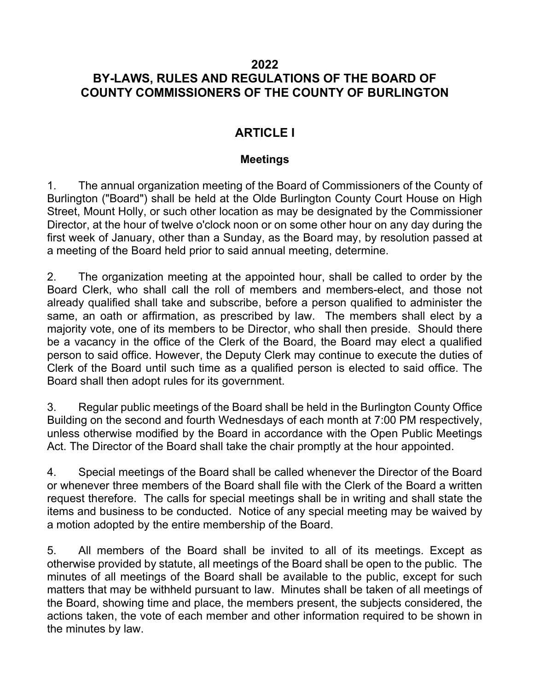### 2022 BY-LAWS, RULES AND REGULATIONS OF THE BOARD OF COUNTY COMMISSIONERS OF THE COUNTY OF BURLINGTON

## ARTICLE I

### Meetings

1. The annual organization meeting of the Board of Commissioners of the County of Burlington ("Board") shall be held at the Olde Burlington County Court House on High Street, Mount Holly, or such other location as may be designated by the Commissioner Director, at the hour of twelve o'clock noon or on some other hour on any day during the first week of January, other than a Sunday, as the Board may, by resolution passed at a meeting of the Board held prior to said annual meeting, determine.

2. The organization meeting at the appointed hour, shall be called to order by the Board Clerk, who shall call the roll of members and members-elect, and those not already qualified shall take and subscribe, before a person qualified to administer the same, an oath or affirmation, as prescribed by law. The members shall elect by a majority vote, one of its members to be Director, who shall then preside. Should there be a vacancy in the office of the Clerk of the Board, the Board may elect a qualified person to said office. However, the Deputy Clerk may continue to execute the duties of Clerk of the Board until such time as a qualified person is elected to said office. The Board shall then adopt rules for its government.

3. Regular public meetings of the Board shall be held in the Burlington County Office Building on the second and fourth Wednesdays of each month at 7:00 PM respectively, unless otherwise modified by the Board in accordance with the Open Public Meetings Act. The Director of the Board shall take the chair promptly at the hour appointed.

4. Special meetings of the Board shall be called whenever the Director of the Board or whenever three members of the Board shall file with the Clerk of the Board a written request therefore. The calls for special meetings shall be in writing and shall state the items and business to be conducted. Notice of any special meeting may be waived by a motion adopted by the entire membership of the Board.

5. All members of the Board shall be invited to all of its meetings. Except as otherwise provided by statute, all meetings of the Board shall be open to the public. The minutes of all meetings of the Board shall be available to the public, except for such matters that may be withheld pursuant to law. Minutes shall be taken of all meetings of the Board, showing time and place, the members present, the subjects considered, the actions taken, the vote of each member and other information required to be shown in the minutes by law.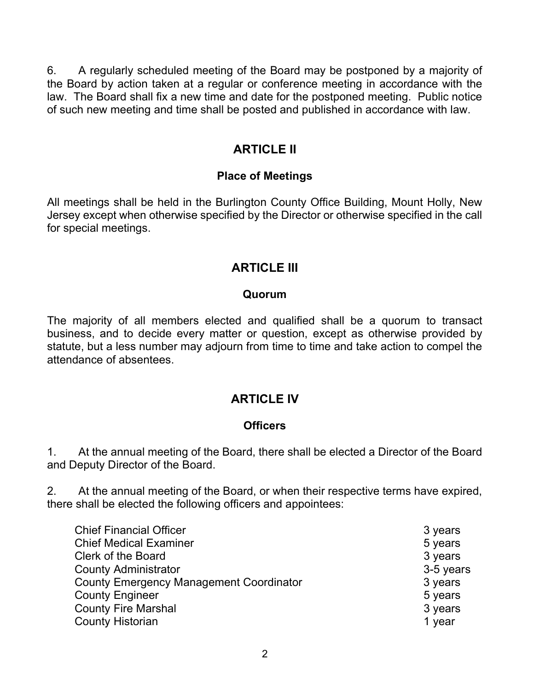6. A regularly scheduled meeting of the Board may be postponed by a majority of the Board by action taken at a regular or conference meeting in accordance with the law. The Board shall fix a new time and date for the postponed meeting. Public notice of such new meeting and time shall be posted and published in accordance with law.

### ARTICLE II

### Place of Meetings

All meetings shall be held in the Burlington County Office Building, Mount Holly, New Jersey except when otherwise specified by the Director or otherwise specified in the call for special meetings.

### ARTICLE III

### Quorum

The majority of all members elected and qualified shall be a quorum to transact business, and to decide every matter or question, except as otherwise provided by statute, but a less number may adjourn from time to time and take action to compel the attendance of absentees.

### **ARTICLE IV**

#### **Officers**

1. At the annual meeting of the Board, there shall be elected a Director of the Board and Deputy Director of the Board.

2. At the annual meeting of the Board, or when their respective terms have expired, there shall be elected the following officers and appointees:

| <b>Chief Financial Officer</b>                 | 3 years   |
|------------------------------------------------|-----------|
| <b>Chief Medical Examiner</b>                  | 5 years   |
| <b>Clerk of the Board</b>                      | 3 years   |
| <b>County Administrator</b>                    | 3-5 years |
| <b>County Emergency Management Coordinator</b> | 3 years   |
| <b>County Engineer</b>                         | 5 years   |
| <b>County Fire Marshal</b>                     | 3 years   |
| <b>County Historian</b>                        | 1 year    |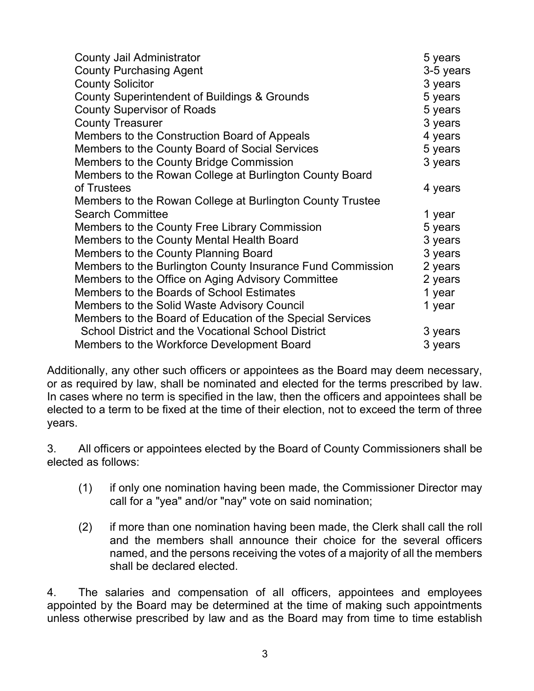| <b>County Jail Administrator</b>                           | 5 years   |
|------------------------------------------------------------|-----------|
| <b>County Purchasing Agent</b>                             | 3-5 years |
| <b>County Solicitor</b>                                    | 3 years   |
| <b>County Superintendent of Buildings &amp; Grounds</b>    | 5 years   |
| <b>County Supervisor of Roads</b>                          | 5 years   |
| <b>County Treasurer</b>                                    | 3 years   |
| Members to the Construction Board of Appeals               | 4 years   |
| Members to the County Board of Social Services             | 5 years   |
| Members to the County Bridge Commission                    | 3 years   |
| Members to the Rowan College at Burlington County Board    |           |
| of Trustees                                                | 4 years   |
| Members to the Rowan College at Burlington County Trustee  |           |
| <b>Search Committee</b>                                    | 1 year    |
| Members to the County Free Library Commission              | 5 years   |
| Members to the County Mental Health Board                  | 3 years   |
| Members to the County Planning Board                       | 3 years   |
| Members to the Burlington County Insurance Fund Commission | 2 years   |
| Members to the Office on Aging Advisory Committee          | 2 years   |
| Members to the Boards of School Estimates                  | 1 year    |
| Members to the Solid Waste Advisory Council                | 1 year    |
| Members to the Board of Education of the Special Services  |           |
| <b>School District and the Vocational School District</b>  | 3 years   |
| Members to the Workforce Development Board                 | 3 years   |

Additionally, any other such officers or appointees as the Board may deem necessary, or as required by law, shall be nominated and elected for the terms prescribed by law. In cases where no term is specified in the law, then the officers and appointees shall be elected to a term to be fixed at the time of their election, not to exceed the term of three years.

3. All officers or appointees elected by the Board of County Commissioners shall be elected as follows:

- (1) if only one nomination having been made, the Commissioner Director may call for a "yea" and/or "nay" vote on said nomination;
- (2) if more than one nomination having been made, the Clerk shall call the roll and the members shall announce their choice for the several officers named, and the persons receiving the votes of a majority of all the members shall be declared elected.

4. The salaries and compensation of all officers, appointees and employees appointed by the Board may be determined at the time of making such appointments unless otherwise prescribed by law and as the Board may from time to time establish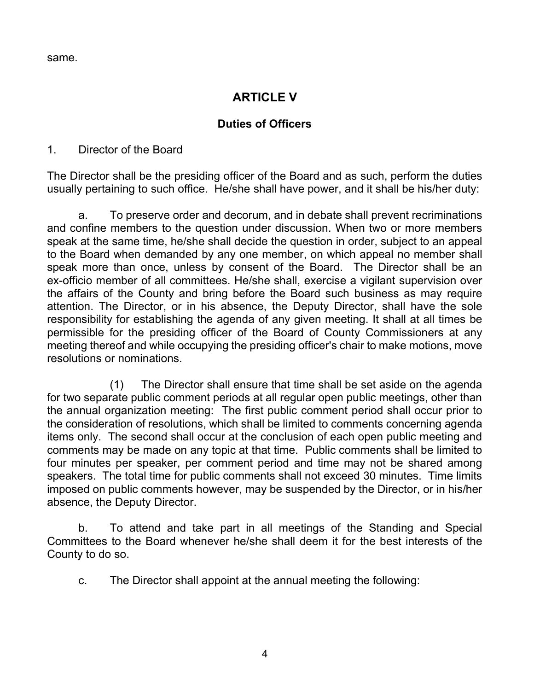same.

## ARTICLE V

#### Duties of Officers

#### 1. Director of the Board

The Director shall be the presiding officer of the Board and as such, perform the duties usually pertaining to such office. He/she shall have power, and it shall be his/her duty:

a. To preserve order and decorum, and in debate shall prevent recriminations and confine members to the question under discussion. When two or more members speak at the same time, he/she shall decide the question in order, subject to an appeal to the Board when demanded by any one member, on which appeal no member shall speak more than once, unless by consent of the Board. The Director shall be an ex-officio member of all committees. He/she shall, exercise a vigilant supervision over the affairs of the County and bring before the Board such business as may require attention. The Director, or in his absence, the Deputy Director, shall have the sole responsibility for establishing the agenda of any given meeting. It shall at all times be permissible for the presiding officer of the Board of County Commissioners at any meeting thereof and while occupying the presiding officer's chair to make motions, move resolutions or nominations.

 (1) The Director shall ensure that time shall be set aside on the agenda for two separate public comment periods at all regular open public meetings, other than the annual organization meeting: The first public comment period shall occur prior to the consideration of resolutions, which shall be limited to comments concerning agenda items only. The second shall occur at the conclusion of each open public meeting and comments may be made on any topic at that time. Public comments shall be limited to four minutes per speaker, per comment period and time may not be shared among speakers. The total time for public comments shall not exceed 30 minutes. Time limits imposed on public comments however, may be suspended by the Director, or in his/her absence, the Deputy Director.

b. To attend and take part in all meetings of the Standing and Special Committees to the Board whenever he/she shall deem it for the best interests of the County to do so.

c. The Director shall appoint at the annual meeting the following: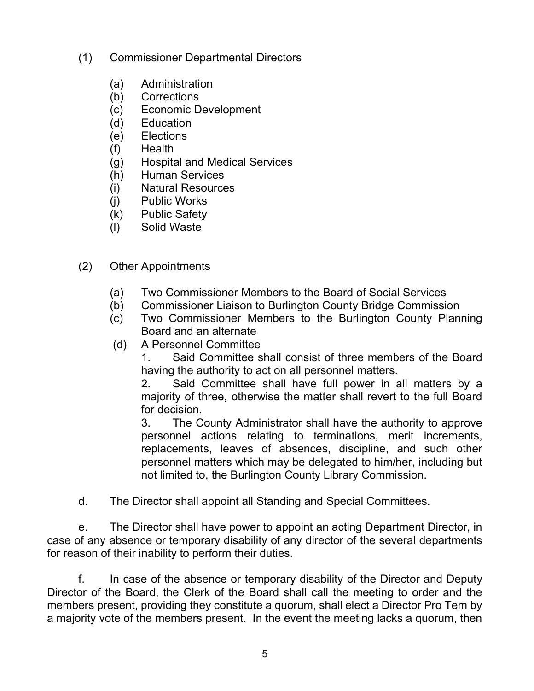- (1) Commissioner Departmental Directors
	- (a) Administration
	- (b) Corrections
	- (c) Economic Development
	- (d) Education
	- (e) Elections
	- (f) Health
	- (g) Hospital and Medical Services
	- (h) Human Services
	- (i) Natural Resources
	- (j) Public Works
	- (k) Public Safety
	- (l) Solid Waste
- (2) Other Appointments
	- (a) Two Commissioner Members to the Board of Social Services
	- (b) Commissioner Liaison to Burlington County Bridge Commission
	- (c) Two Commissioner Members to the Burlington County Planning Board and an alternate
	- (d) A Personnel Committee

1. Said Committee shall consist of three members of the Board having the authority to act on all personnel matters.

2. Said Committee shall have full power in all matters by a majority of three, otherwise the matter shall revert to the full Board for decision.

3. The County Administrator shall have the authority to approve personnel actions relating to terminations, merit increments, replacements, leaves of absences, discipline, and such other personnel matters which may be delegated to him/her, including but not limited to, the Burlington County Library Commission.

d. The Director shall appoint all Standing and Special Committees.

e. The Director shall have power to appoint an acting Department Director, in case of any absence or temporary disability of any director of the several departments for reason of their inability to perform their duties.

f. In case of the absence or temporary disability of the Director and Deputy Director of the Board, the Clerk of the Board shall call the meeting to order and the members present, providing they constitute a quorum, shall elect a Director Pro Tem by a majority vote of the members present. In the event the meeting lacks a quorum, then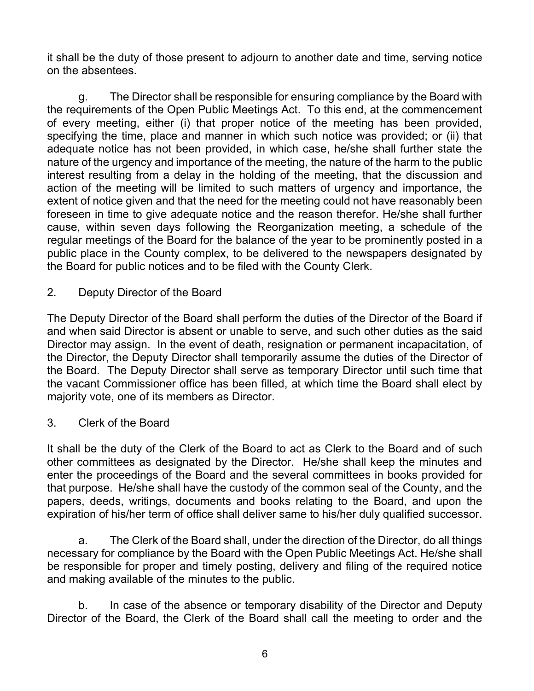it shall be the duty of those present to adjourn to another date and time, serving notice on the absentees.

g. The Director shall be responsible for ensuring compliance by the Board with the requirements of the Open Public Meetings Act. To this end, at the commencement of every meeting, either (i) that proper notice of the meeting has been provided, specifying the time, place and manner in which such notice was provided; or (ii) that adequate notice has not been provided, in which case, he/she shall further state the nature of the urgency and importance of the meeting, the nature of the harm to the public interest resulting from a delay in the holding of the meeting, that the discussion and action of the meeting will be limited to such matters of urgency and importance, the extent of notice given and that the need for the meeting could not have reasonably been foreseen in time to give adequate notice and the reason therefor. He/she shall further cause, within seven days following the Reorganization meeting, a schedule of the regular meetings of the Board for the balance of the year to be prominently posted in a public place in the County complex, to be delivered to the newspapers designated by the Board for public notices and to be filed with the County Clerk.

2. Deputy Director of the Board

The Deputy Director of the Board shall perform the duties of the Director of the Board if and when said Director is absent or unable to serve, and such other duties as the said Director may assign. In the event of death, resignation or permanent incapacitation, of the Director, the Deputy Director shall temporarily assume the duties of the Director of the Board. The Deputy Director shall serve as temporary Director until such time that the vacant Commissioner office has been filled, at which time the Board shall elect by majority vote, one of its members as Director.

3. Clerk of the Board

It shall be the duty of the Clerk of the Board to act as Clerk to the Board and of such other committees as designated by the Director. He/she shall keep the minutes and enter the proceedings of the Board and the several committees in books provided for that purpose. He/she shall have the custody of the common seal of the County, and the papers, deeds, writings, documents and books relating to the Board, and upon the expiration of his/her term of office shall deliver same to his/her duly qualified successor.

a. The Clerk of the Board shall, under the direction of the Director, do all things necessary for compliance by the Board with the Open Public Meetings Act. He/she shall be responsible for proper and timely posting, delivery and filing of the required notice and making available of the minutes to the public.

b. In case of the absence or temporary disability of the Director and Deputy Director of the Board, the Clerk of the Board shall call the meeting to order and the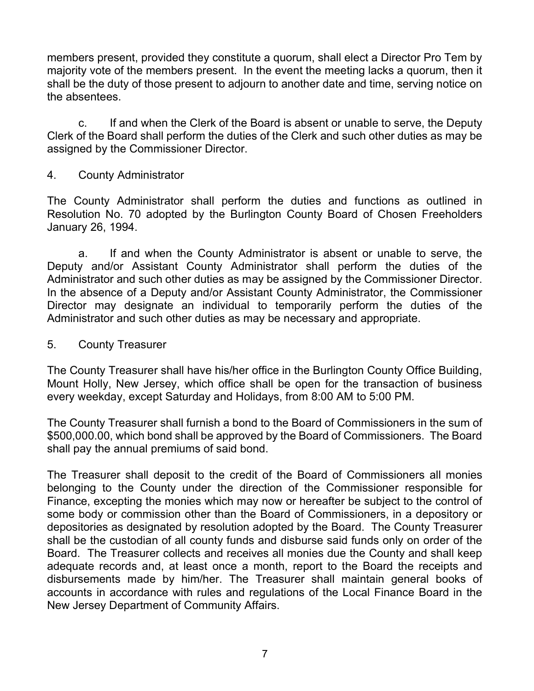members present, provided they constitute a quorum, shall elect a Director Pro Tem by majority vote of the members present. In the event the meeting lacks a quorum, then it shall be the duty of those present to adjourn to another date and time, serving notice on the absentees.

 c. If and when the Clerk of the Board is absent or unable to serve, the Deputy Clerk of the Board shall perform the duties of the Clerk and such other duties as may be assigned by the Commissioner Director.

4. County Administrator

The County Administrator shall perform the duties and functions as outlined in Resolution No. 70 adopted by the Burlington County Board of Chosen Freeholders January 26, 1994.

 a. If and when the County Administrator is absent or unable to serve, the Deputy and/or Assistant County Administrator shall perform the duties of the Administrator and such other duties as may be assigned by the Commissioner Director. In the absence of a Deputy and/or Assistant County Administrator, the Commissioner Director may designate an individual to temporarily perform the duties of the Administrator and such other duties as may be necessary and appropriate.

5. County Treasurer

The County Treasurer shall have his/her office in the Burlington County Office Building, Mount Holly, New Jersey, which office shall be open for the transaction of business every weekday, except Saturday and Holidays, from 8:00 AM to 5:00 PM.

The County Treasurer shall furnish a bond to the Board of Commissioners in the sum of \$500,000.00, which bond shall be approved by the Board of Commissioners. The Board shall pay the annual premiums of said bond.

The Treasurer shall deposit to the credit of the Board of Commissioners all monies belonging to the County under the direction of the Commissioner responsible for Finance, excepting the monies which may now or hereafter be subject to the control of some body or commission other than the Board of Commissioners, in a depository or depositories as designated by resolution adopted by the Board. The County Treasurer shall be the custodian of all county funds and disburse said funds only on order of the Board. The Treasurer collects and receives all monies due the County and shall keep adequate records and, at least once a month, report to the Board the receipts and disbursements made by him/her. The Treasurer shall maintain general books of accounts in accordance with rules and regulations of the Local Finance Board in the New Jersey Department of Community Affairs.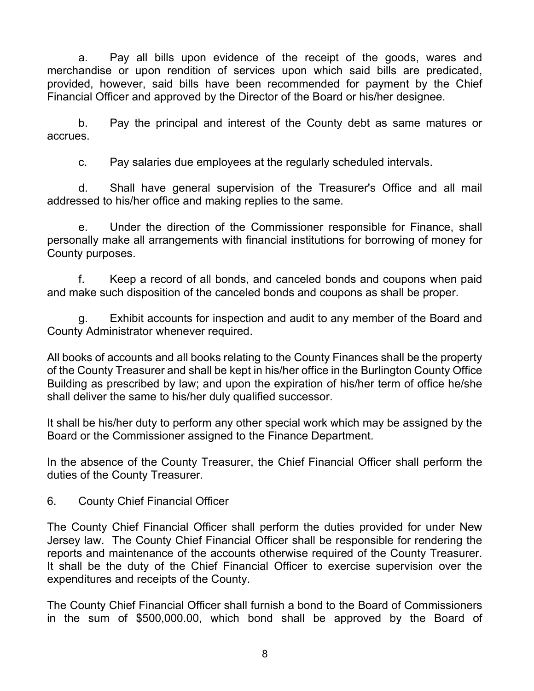a. Pay all bills upon evidence of the receipt of the goods, wares and merchandise or upon rendition of services upon which said bills are predicated, provided, however, said bills have been recommended for payment by the Chief Financial Officer and approved by the Director of the Board or his/her designee.

b. Pay the principal and interest of the County debt as same matures or accrues.

c. Pay salaries due employees at the regularly scheduled intervals.

d. Shall have general supervision of the Treasurer's Office and all mail addressed to his/her office and making replies to the same.

e. Under the direction of the Commissioner responsible for Finance, shall personally make all arrangements with financial institutions for borrowing of money for County purposes.

f. Keep a record of all bonds, and canceled bonds and coupons when paid and make such disposition of the canceled bonds and coupons as shall be proper.

 g. Exhibit accounts for inspection and audit to any member of the Board and County Administrator whenever required.

All books of accounts and all books relating to the County Finances shall be the property of the County Treasurer and shall be kept in his/her office in the Burlington County Office Building as prescribed by law; and upon the expiration of his/her term of office he/she shall deliver the same to his/her duly qualified successor.

It shall be his/her duty to perform any other special work which may be assigned by the Board or the Commissioner assigned to the Finance Department.

In the absence of the County Treasurer, the Chief Financial Officer shall perform the duties of the County Treasurer.

6. County Chief Financial Officer

The County Chief Financial Officer shall perform the duties provided for under New Jersey law. The County Chief Financial Officer shall be responsible for rendering the reports and maintenance of the accounts otherwise required of the County Treasurer. It shall be the duty of the Chief Financial Officer to exercise supervision over the expenditures and receipts of the County.

The County Chief Financial Officer shall furnish a bond to the Board of Commissioners in the sum of \$500,000.00, which bond shall be approved by the Board of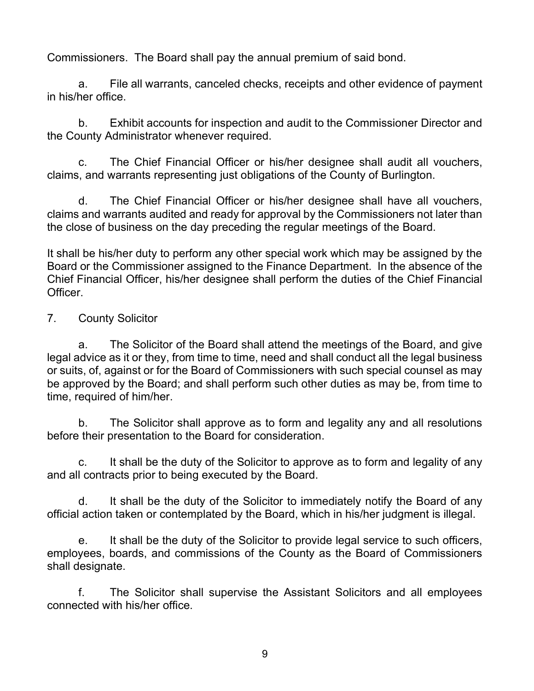Commissioners. The Board shall pay the annual premium of said bond.

a. File all warrants, canceled checks, receipts and other evidence of payment in his/her office.

b. Exhibit accounts for inspection and audit to the Commissioner Director and the County Administrator whenever required.

c. The Chief Financial Officer or his/her designee shall audit all vouchers, claims, and warrants representing just obligations of the County of Burlington.

d. The Chief Financial Officer or his/her designee shall have all vouchers, claims and warrants audited and ready for approval by the Commissioners not later than the close of business on the day preceding the regular meetings of the Board.

It shall be his/her duty to perform any other special work which may be assigned by the Board or the Commissioner assigned to the Finance Department. In the absence of the Chief Financial Officer, his/her designee shall perform the duties of the Chief Financial Officer.

### 7. County Solicitor

a. The Solicitor of the Board shall attend the meetings of the Board, and give legal advice as it or they, from time to time, need and shall conduct all the legal business or suits, of, against or for the Board of Commissioners with such special counsel as may be approved by the Board; and shall perform such other duties as may be, from time to time, required of him/her.

b. The Solicitor shall approve as to form and legality any and all resolutions before their presentation to the Board for consideration.

c. It shall be the duty of the Solicitor to approve as to form and legality of any and all contracts prior to being executed by the Board.

d. It shall be the duty of the Solicitor to immediately notify the Board of any official action taken or contemplated by the Board, which in his/her judgment is illegal.

e. It shall be the duty of the Solicitor to provide legal service to such officers, employees, boards, and commissions of the County as the Board of Commissioners shall designate.

f. The Solicitor shall supervise the Assistant Solicitors and all employees connected with his/her office.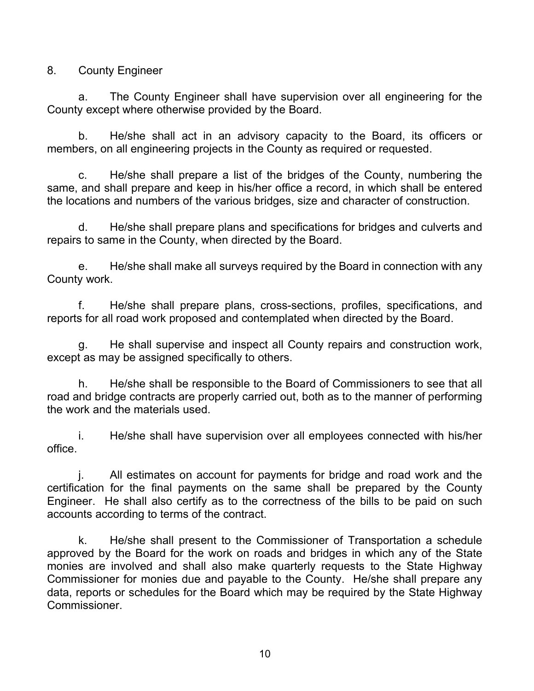8. County Engineer

a. The County Engineer shall have supervision over all engineering for the County except where otherwise provided by the Board.

b. He/she shall act in an advisory capacity to the Board, its officers or members, on all engineering projects in the County as required or requested.

c. He/she shall prepare a list of the bridges of the County, numbering the same, and shall prepare and keep in his/her office a record, in which shall be entered the locations and numbers of the various bridges, size and character of construction.

d. He/she shall prepare plans and specifications for bridges and culverts and repairs to same in the County, when directed by the Board.

e. He/she shall make all surveys required by the Board in connection with any County work.

f. He/she shall prepare plans, cross-sections, profiles, specifications, and reports for all road work proposed and contemplated when directed by the Board.

g. He shall supervise and inspect all County repairs and construction work, except as may be assigned specifically to others.

h. He/she shall be responsible to the Board of Commissioners to see that all road and bridge contracts are properly carried out, both as to the manner of performing the work and the materials used.

i. He/she shall have supervision over all employees connected with his/her office.

j. All estimates on account for payments for bridge and road work and the certification for the final payments on the same shall be prepared by the County Engineer. He shall also certify as to the correctness of the bills to be paid on such accounts according to terms of the contract.

k. He/she shall present to the Commissioner of Transportation a schedule approved by the Board for the work on roads and bridges in which any of the State monies are involved and shall also make quarterly requests to the State Highway Commissioner for monies due and payable to the County. He/she shall prepare any data, reports or schedules for the Board which may be required by the State Highway Commissioner.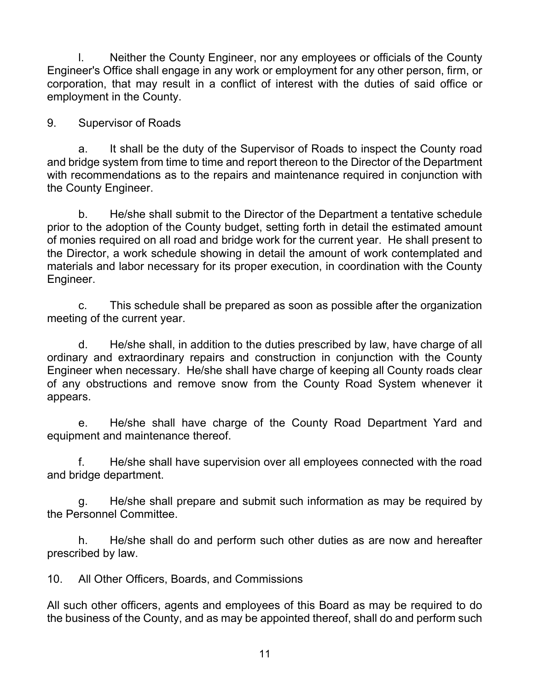l. Neither the County Engineer, nor any employees or officials of the County Engineer's Office shall engage in any work or employment for any other person, firm, or corporation, that may result in a conflict of interest with the duties of said office or employment in the County.

9. Supervisor of Roads

a. It shall be the duty of the Supervisor of Roads to inspect the County road and bridge system from time to time and report thereon to the Director of the Department with recommendations as to the repairs and maintenance required in conjunction with the County Engineer.

b. He/she shall submit to the Director of the Department a tentative schedule prior to the adoption of the County budget, setting forth in detail the estimated amount of monies required on all road and bridge work for the current year. He shall present to the Director, a work schedule showing in detail the amount of work contemplated and materials and labor necessary for its proper execution, in coordination with the County Engineer.

c. This schedule shall be prepared as soon as possible after the organization meeting of the current year.

d. He/she shall, in addition to the duties prescribed by law, have charge of all ordinary and extraordinary repairs and construction in conjunction with the County Engineer when necessary. He/she shall have charge of keeping all County roads clear of any obstructions and remove snow from the County Road System whenever it appears.

e. He/she shall have charge of the County Road Department Yard and equipment and maintenance thereof.

f. He/she shall have supervision over all employees connected with the road and bridge department.

g. He/she shall prepare and submit such information as may be required by the Personnel Committee.

h. He/she shall do and perform such other duties as are now and hereafter prescribed by law.

10. All Other Officers, Boards, and Commissions

All such other officers, agents and employees of this Board as may be required to do the business of the County, and as may be appointed thereof, shall do and perform such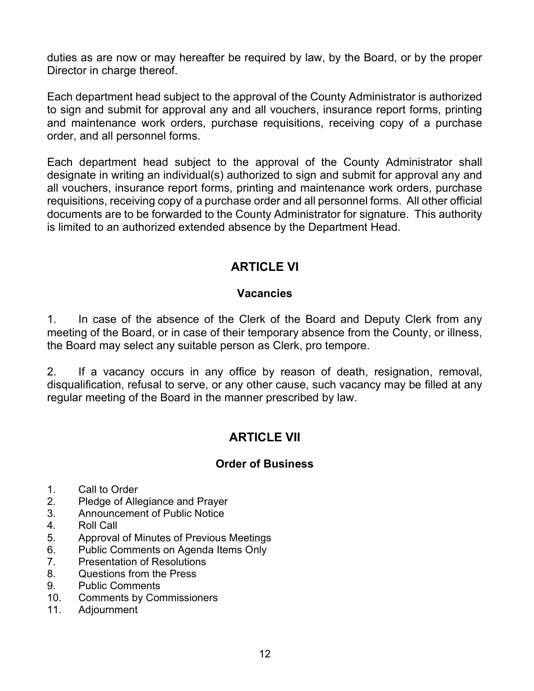duties as are now or may hereafter be required by law, by the Board, or by the proper Director in charge thereof.

Each department head subject to the approval of the County Administrator is authorized to sign and submit for approval any and all vouchers, insurance report forms, printing and maintenance work orders, purchase requisitions, receiving copy of a purchase order, and all personnel forms.

Each department head subject to the approval of the County Administrator shall designate in writing an individual(s) authorized to sign and submit for approval any and all vouchers, insurance report forms, printing and maintenance work orders, purchase requisitions, receiving copy of a purchase order and all personnel forms. All other official documents are to be forwarded to the County Administrator for signature. This authority is limited to an authorized extended absence by the Department Head.

### ARTICLE VI

### **Vacancies**

1. In case of the absence of the Clerk of the Board and Deputy Clerk from any meeting of the Board, or in case of their temporary absence from the County, or illness, the Board may select any suitable person as Clerk, pro tempore.

2. If a vacancy occurs in any office by reason of death, resignation, removal, disqualification, refusal to serve, or any other cause, such vacancy may be filled at any regular meeting of the Board in the manner prescribed by law.

## ARTICLE VII

### Order of Business

- 1. Call to Order
- 2. Pledge of Allegiance and Prayer
- 3. Announcement of Public Notice
- 4. Roll Call
- 5. Approval of Minutes of Previous Meetings
- 6. Public Comments on Agenda Items Only
- 7. Presentation of Resolutions
- 8. Questions from the Press
- 9. Public Comments
- 10. Comments by Commissioners
- 11. Adjournment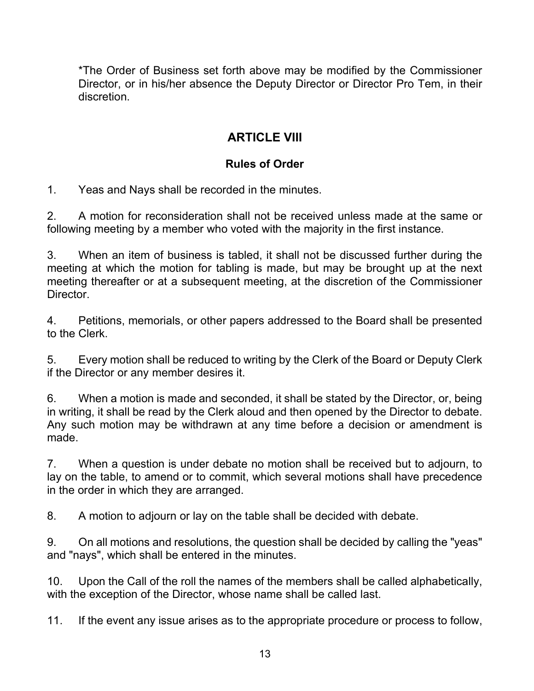\*The Order of Business set forth above may be modified by the Commissioner Director, or in his/her absence the Deputy Director or Director Pro Tem, in their discretion.

### ARTICLE VIII

### Rules of Order

1. Yeas and Nays shall be recorded in the minutes.

2. A motion for reconsideration shall not be received unless made at the same or following meeting by a member who voted with the majority in the first instance.

3. When an item of business is tabled, it shall not be discussed further during the meeting at which the motion for tabling is made, but may be brought up at the next meeting thereafter or at a subsequent meeting, at the discretion of the Commissioner **Director** 

4. Petitions, memorials, or other papers addressed to the Board shall be presented to the Clerk.

5. Every motion shall be reduced to writing by the Clerk of the Board or Deputy Clerk if the Director or any member desires it.

6. When a motion is made and seconded, it shall be stated by the Director, or, being in writing, it shall be read by the Clerk aloud and then opened by the Director to debate. Any such motion may be withdrawn at any time before a decision or amendment is made.

7. When a question is under debate no motion shall be received but to adjourn, to lay on the table, to amend or to commit, which several motions shall have precedence in the order in which they are arranged.

8. A motion to adjourn or lay on the table shall be decided with debate.

9. On all motions and resolutions, the question shall be decided by calling the "yeas" and "nays", which shall be entered in the minutes.

10. Upon the Call of the roll the names of the members shall be called alphabetically, with the exception of the Director, whose name shall be called last.

11. If the event any issue arises as to the appropriate procedure or process to follow,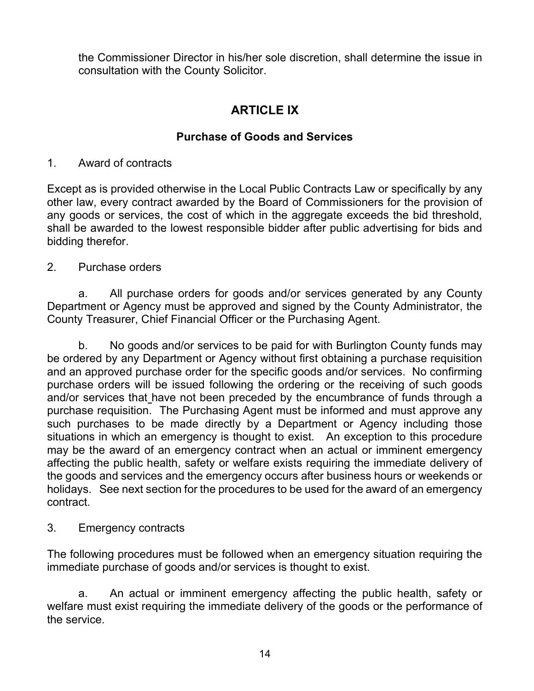the Commissioner Director in his/her sole discretion, shall determine the issue in consultation with the County Solicitor.

### ARTICLE IX

### Purchase of Goods and Services

#### 1. Award of contracts

Except as is provided otherwise in the Local Public Contracts Law or specifically by any other law, every contract awarded by the Board of Commissioners for the provision of any goods or services, the cost of which in the aggregate exceeds the bid threshold, shall be awarded to the lowest responsible bidder after public advertising for bids and bidding therefor.

### 2. Purchase orders

a. All purchase orders for goods and/or services generated by any County Department or Agency must be approved and signed by the County Administrator, the County Treasurer, Chief Financial Officer or the Purchasing Agent.

 b. No goods and/or services to be paid for with Burlington County funds may be ordered by any Department or Agency without first obtaining a purchase requisition and an approved purchase order for the specific goods and/or services. No confirming purchase orders will be issued following the ordering or the receiving of such goods and/or services that have not been preceded by the encumbrance of funds through a purchase requisition. The Purchasing Agent must be informed and must approve any such purchases to be made directly by a Department or Agency including those situations in which an emergency is thought to exist. An exception to this procedure may be the award of an emergency contract when an actual or imminent emergency affecting the public health, safety or welfare exists requiring the immediate delivery of the goods and services and the emergency occurs after business hours or weekends or holidays. See next section for the procedures to be used for the award of an emergency contract.

#### 3. Emergency contracts

The following procedures must be followed when an emergency situation requiring the immediate purchase of goods and/or services is thought to exist.

a. An actual or imminent emergency affecting the public health, safety or welfare must exist requiring the immediate delivery of the goods or the performance of the service.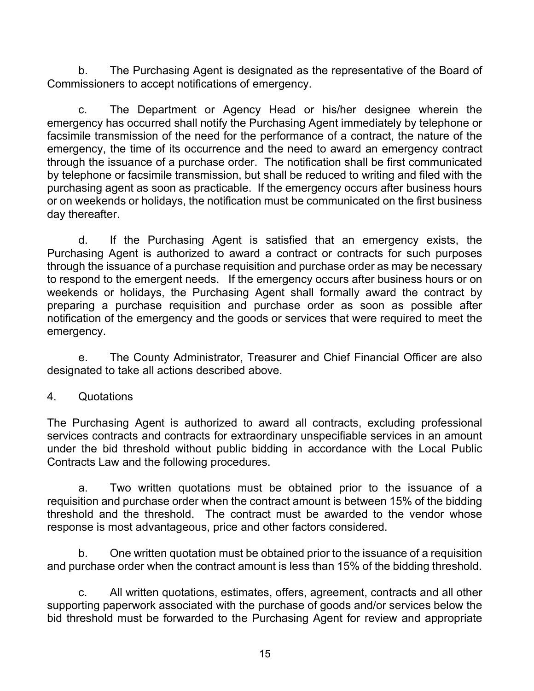b. The Purchasing Agent is designated as the representative of the Board of Commissioners to accept notifications of emergency.

c. The Department or Agency Head or his/her designee wherein the emergency has occurred shall notify the Purchasing Agent immediately by telephone or facsimile transmission of the need for the performance of a contract, the nature of the emergency, the time of its occurrence and the need to award an emergency contract through the issuance of a purchase order. The notification shall be first communicated by telephone or facsimile transmission, but shall be reduced to writing and filed with the purchasing agent as soon as practicable. If the emergency occurs after business hours or on weekends or holidays, the notification must be communicated on the first business day thereafter.

d. If the Purchasing Agent is satisfied that an emergency exists, the Purchasing Agent is authorized to award a contract or contracts for such purposes through the issuance of a purchase requisition and purchase order as may be necessary to respond to the emergent needs. If the emergency occurs after business hours or on weekends or holidays, the Purchasing Agent shall formally award the contract by preparing a purchase requisition and purchase order as soon as possible after notification of the emergency and the goods or services that were required to meet the emergency.

e. The County Administrator, Treasurer and Chief Financial Officer are also designated to take all actions described above.

#### 4. Quotations

The Purchasing Agent is authorized to award all contracts, excluding professional services contracts and contracts for extraordinary unspecifiable services in an amount under the bid threshold without public bidding in accordance with the Local Public Contracts Law and the following procedures.

a. Two written quotations must be obtained prior to the issuance of a requisition and purchase order when the contract amount is between 15% of the bidding threshold and the threshold. The contract must be awarded to the vendor whose response is most advantageous, price and other factors considered.

 b. One written quotation must be obtained prior to the issuance of a requisition and purchase order when the contract amount is less than 15% of the bidding threshold.

 c. All written quotations, estimates, offers, agreement, contracts and all other supporting paperwork associated with the purchase of goods and/or services below the bid threshold must be forwarded to the Purchasing Agent for review and appropriate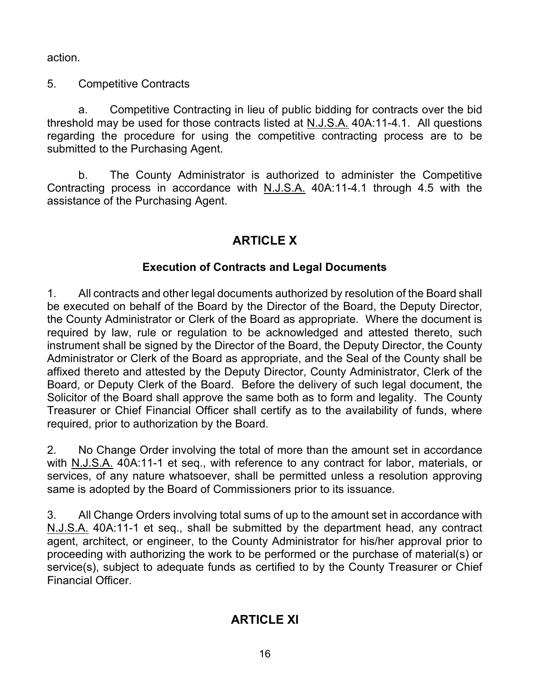action.

5. Competitive Contracts

a. Competitive Contracting in lieu of public bidding for contracts over the bid threshold may be used for those contracts listed at N.J.S.A. 40A:11-4.1. All questions regarding the procedure for using the competitive contracting process are to be submitted to the Purchasing Agent.

 b. The County Administrator is authorized to administer the Competitive Contracting process in accordance with N.J.S.A. 40A:11-4.1 through 4.5 with the assistance of the Purchasing Agent.

## ARTICLE X

### Execution of Contracts and Legal Documents

1. All contracts and other legal documents authorized by resolution of the Board shall be executed on behalf of the Board by the Director of the Board, the Deputy Director, the County Administrator or Clerk of the Board as appropriate. Where the document is required by law, rule or regulation to be acknowledged and attested thereto, such instrument shall be signed by the Director of the Board, the Deputy Director, the County Administrator or Clerk of the Board as appropriate, and the Seal of the County shall be affixed thereto and attested by the Deputy Director, County Administrator, Clerk of the Board, or Deputy Clerk of the Board. Before the delivery of such legal document, the Solicitor of the Board shall approve the same both as to form and legality. The County Treasurer or Chief Financial Officer shall certify as to the availability of funds, where required, prior to authorization by the Board.

2. No Change Order involving the total of more than the amount set in accordance with N.J.S.A. 40A:11-1 et seq., with reference to any contract for labor, materials, or services, of any nature whatsoever, shall be permitted unless a resolution approving same is adopted by the Board of Commissioners prior to its issuance.

3. All Change Orders involving total sums of up to the amount set in accordance with N.J.S.A. 40A:11-1 et seq., shall be submitted by the department head, any contract agent, architect, or engineer, to the County Administrator for his/her approval prior to proceeding with authorizing the work to be performed or the purchase of material(s) or service(s), subject to adequate funds as certified to by the County Treasurer or Chief Financial Officer.

# ARTICLE XI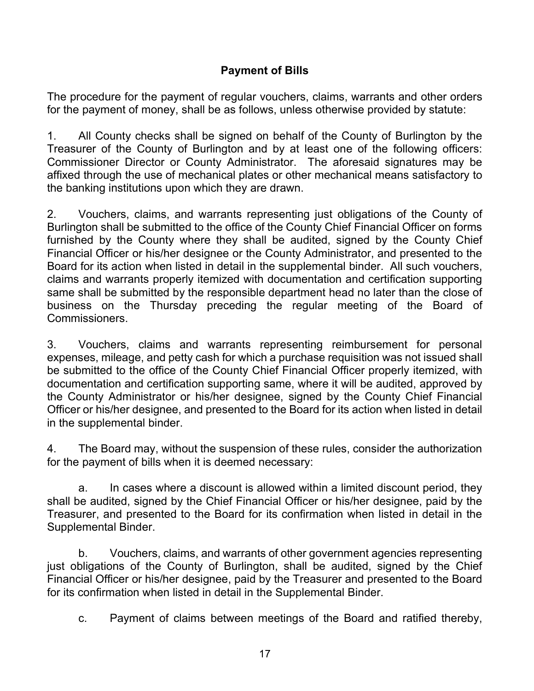### Payment of Bills

The procedure for the payment of regular vouchers, claims, warrants and other orders for the payment of money, shall be as follows, unless otherwise provided by statute:

1. All County checks shall be signed on behalf of the County of Burlington by the Treasurer of the County of Burlington and by at least one of the following officers: Commissioner Director or County Administrator. The aforesaid signatures may be affixed through the use of mechanical plates or other mechanical means satisfactory to the banking institutions upon which they are drawn.

2. Vouchers, claims, and warrants representing just obligations of the County of Burlington shall be submitted to the office of the County Chief Financial Officer on forms furnished by the County where they shall be audited, signed by the County Chief Financial Officer or his/her designee or the County Administrator, and presented to the Board for its action when listed in detail in the supplemental binder. All such vouchers, claims and warrants properly itemized with documentation and certification supporting same shall be submitted by the responsible department head no later than the close of business on the Thursday preceding the regular meeting of the Board of Commissioners.

3. Vouchers, claims and warrants representing reimbursement for personal expenses, mileage, and petty cash for which a purchase requisition was not issued shall be submitted to the office of the County Chief Financial Officer properly itemized, with documentation and certification supporting same, where it will be audited, approved by the County Administrator or his/her designee, signed by the County Chief Financial Officer or his/her designee, and presented to the Board for its action when listed in detail in the supplemental binder.

4. The Board may, without the suspension of these rules, consider the authorization for the payment of bills when it is deemed necessary:

a. In cases where a discount is allowed within a limited discount period, they shall be audited, signed by the Chief Financial Officer or his/her designee, paid by the Treasurer, and presented to the Board for its confirmation when listed in detail in the Supplemental Binder.

b. Vouchers, claims, and warrants of other government agencies representing just obligations of the County of Burlington, shall be audited, signed by the Chief Financial Officer or his/her designee, paid by the Treasurer and presented to the Board for its confirmation when listed in detail in the Supplemental Binder.

c. Payment of claims between meetings of the Board and ratified thereby,